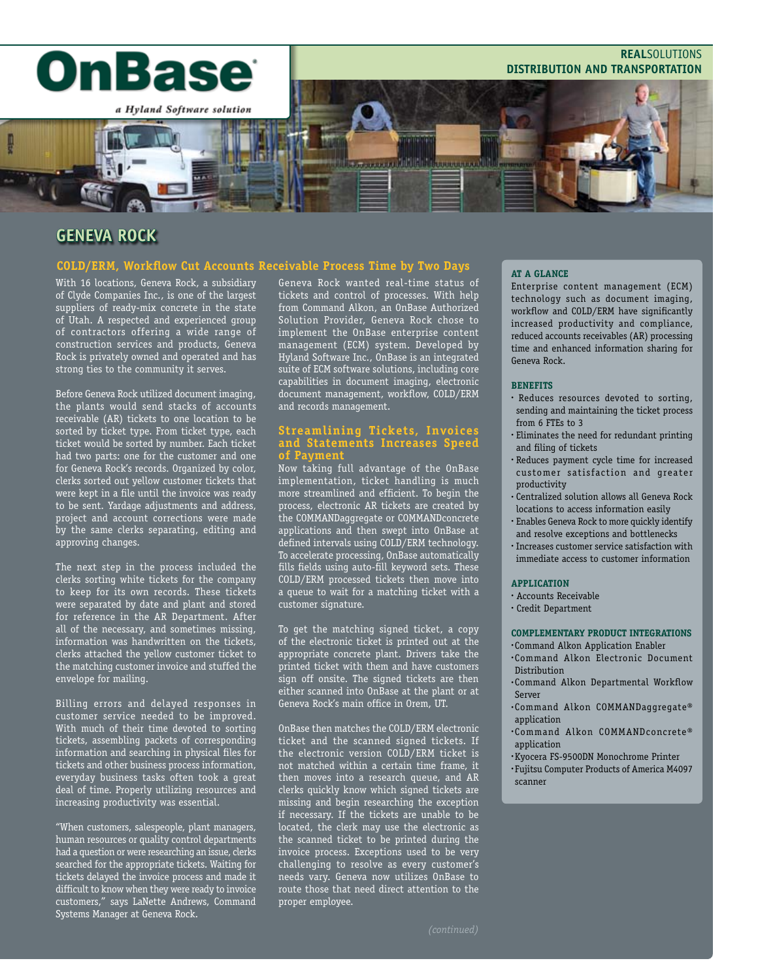

# **Geneva Rock**

## **COLD/ERM, Workflow Cut Accounts Receivable Process Time by Two Days**

With 16 locations, Geneva Rock, a subsidiary of Clyde Companies Inc., is one of the largest suppliers of ready-mix concrete in the state of Utah. A respected and experienced group of contractors offering a wide range of construction services and products, Geneva Rock is privately owned and operated and has strong ties to the community it serves.

Before Geneva Rock utilized document imaging, the plants would send stacks of accounts receivable (AR) tickets to one location to be sorted by ticket type. From ticket type, each ticket would be sorted by number. Each ticket had two parts: one for the customer and one for Geneva Rock's records. Organized by color, clerks sorted out yellow customer tickets that were kept in a file until the invoice was ready to be sent. Yardage adjustments and address, project and account corrections were made by the same clerks separating, editing and approving changes.

The next step in the process included the clerks sorting white tickets for the company to keep for its own records. These tickets were separated by date and plant and stored for reference in the AR Department. After all of the necessary, and sometimes missing, information was handwritten on the tickets, clerks attached the yellow customer ticket to the matching customer invoice and stuffed the envelope for mailing.

Billing errors and delayed responses in customer service needed to be improved. With much of their time devoted to sorting tickets, assembling packets of corresponding information and searching in physical files for tickets and other business process information, everyday business tasks often took a great deal of time. Properly utilizing resources and increasing productivity was essential.

"When customers, salespeople, plant managers, human resources or quality control departments had a question or were researching an issue, clerks searched for the appropriate tickets. Waiting for tickets delayed the invoice process and made it difficult to know when they were ready to invoice customers," says LaNette Andrews, Command Systems Manager at Geneva Rock.

Geneva Rock wanted real-time status of tickets and control of processes. With help from Command Alkon, an OnBase Authorized Solution Provider, Geneva Rock chose to implement the OnBase enterprise content management (ECM) system. Developed by Hyland Software Inc., OnBase is an integrated suite of ECM software solutions, including core capabilities in document imaging, electronic document management, workflow, COLD/ERM and records management.

## **Streamlining Tickets, Invoices and Statements Increases Speed of Payment**

Now taking full advantage of the OnBase implementation, ticket handling is much more streamlined and efficient. To begin the process, electronic AR tickets are created by the COMMANDaggregate or COMMANDconcrete applications and then swept into OnBase at defined intervals using COLD/ERM technology. To accelerate processing, OnBase automatically fills fields using auto-fill keyword sets. These COLD/ERM processed tickets then move into a queue to wait for a matching ticket with a customer signature.

To get the matching signed ticket, a copy of the electronic ticket is printed out at the appropriate concrete plant. Drivers take the printed ticket with them and have customers sign off onsite. The signed tickets are then either scanned into OnBase at the plant or at Geneva Rock's main office in Orem, UT.

OnBase then matches the COLD/ERM electronic ticket and the scanned signed tickets. If the electronic version COLD/ERM ticket is not matched within a certain time frame, it then moves into a research queue, and AR clerks quickly know which signed tickets are missing and begin researching the exception if necessary. If the tickets are unable to be located, the clerk may use the electronic as the scanned ticket to be printed during the invoice process. Exceptions used to be very challenging to resolve as every customer's needs vary. Geneva now utilizes OnBase to route those that need direct attention to the proper employee.

#### **AT A GLANCE**

Enterprise content management (ECM) technology such as document imaging, workflow and COLD/ERM have significantly increased productivity and compliance, reduced accounts receivables (AR) processing time and enhanced information sharing for Geneva Rock.

#### **BENEFITS**

- Reduces resources devoted to sorting, sending and maintaining the ticket process from 6 FTEs to 3
- Eliminates the need for redundant printing and filing of tickets
- Reduces payment cycle time for increased customer satisfaction and greater productivity
- Centralized solution allows all Geneva Rock locations to access information easily
- Enables Geneva Rock to more quickly identify and resolve exceptions and bottlenecks
- Increases customer service satisfaction with immediate access to customer information

#### **APPLICATION**

- Accounts Receivable
- Credit Department

#### **COMPLEMENTARY PRODUCT INTEGRATIONS**

- Command Alkon Application Enabler
- Command Alkon Electronic Document Distribution
- Command Alkon Departmental Workflow Server
- Command Alkon COMMANDaggregate® application
- Command Alkon COMMANDconcrete® application
- •Kyocera FS-9500DN Monochrome Printer
- Fujitsu Computer Products of America M4097 scanner